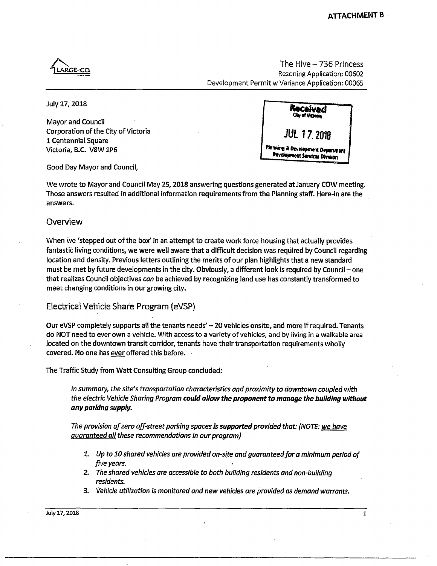**'Uari** LARGE-CQ

The Hive- 736 Princess Rezoning Application: 00602 Development Permit w Variance Application: 00065

**July 17,2018** 

**Mayor and Council Corporation of the City of Victoria 1 Centennial Square Victoria, B.C. V8W1P6** 

| Received<br>Clay of Victoria                                       |  |
|--------------------------------------------------------------------|--|
| <b>JUL 17 2018</b>                                                 |  |
| Planning & Development Department<br>Bavelopment Services Division |  |

**Good Day Mayor and Council,** 

**We wrote to Mayor and Council May 25,2018 answering questions generated at January COW meeting. Those answers resulted in additional information requirements from the Planning staff. Here-in are the answers.** 

## **Overview**

**When we 'stepped out of the box7 in an attempt to create work force housing that actually provides fantastic living conditions, we were well aware that a difficult decision was required by Council regarding location and density. Previous letters outlining the merits of our plan highlights that a new standard**  must be met by future developments in the city. Obviously, a different look is required by Council – one **that realizes Council objectives** *can* **be achieved by recognizing land use has constantly transformed to meet changing conditions in our growing city.** 

**Electrical Vehicle Share Program (eVSP)** 

**Our eVSP completely supports all the tenants needs' - 20 vehicles onsite, and more if required. Tenants do NOT need to ever own a vehicle. With access to a variety of vehicles, and by living in a walkable area located on the downtown transit corridor, tenants have their transportation requirements wholly covered. No one has ever offered this before.** 

**The Traffic Study from Watt Consulting Group concluded:** 

*In summary, the site's transportation characteristics and proximity to downtown coupled with the electric Vehicle Sharing Program could allow the proponent to manage the building without any parking supply.* 

*The provision of zero off-street parking spaces is supported provided that: (NOTE: we have guaranteed all these recommendations in our program)* 

- *1. Up to 10 shared vehicles are provided on-site and guaranteed for a minimum period of five years. •*
- *2. The shared vehicles are accessible to both building residents and non-building residents.*
- *3. Vehicle utilization is monitored and new vehicles are provided as demand warrants.*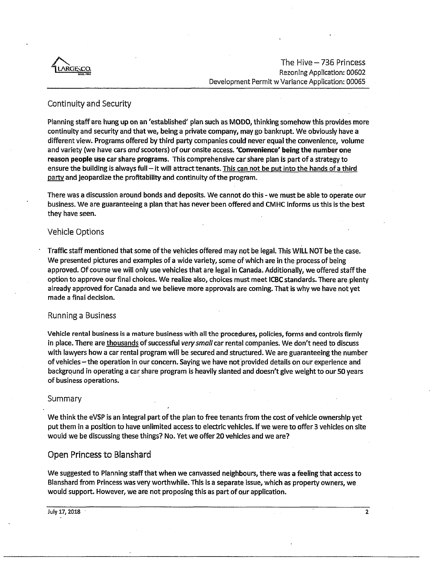

# Continuity and Security

**Planning staff are hung up on an 'established' plan such as MODO, thinking somehow this provides more continuity and security and that we, being a private company, may go bankrupt. We obviously have a different view. Programs offered by third party companies could never equal the convenience, volume and variety (we have cars** *and* **scooters) of our onsite access. 'Convenience' being the number one reason people use car share programs. This comprehensive car share plan is part of a strategy to**  ensure the building is always full - it will attract tenants. This can not be put into the hands of a third **party and jeopardize the profitability and continuity of the program.** 

**There was a discussion around bonds and deposits. We cannot do this - we must be able to operate our business. We are guaranteeing a plan that has never been offered and CMHC informs us this is the best they have seen.** 

## Vehicle Options '

**Traffic staff mentioned that some of the vehicles offered may not be legal. This WILL NOT be the case. We presented pictures and examples of a wide variety, some of which are in the process of being approved. Of course we will only use vehicles that are legal in Canada. Additionally, we offered staff the option to approve our final choices. We realize also, choices must meet ICBC standards. There are plenty already approved for Canada and we believe more approvals are coming. That is why we have not yet made a final decision.** 

#### Running a Business

**Vehicle rental business is a mature business with all the procedures, policies, forms and controls firmly in place. There are thousands of successful** *very small* **car rental companies. We don't need to discuss with lawyers how a car rental program will be secured and structured. We are guaranteeing the number of vehicles-the operation in our concern. Saying we have not provided details on our experience and background in operating a car share program is heavily slanted and doesn't give weight to our 50 years of business operations.** 

#### Summary .

**We think the eVSP is an integral part of the plan to free tenants from the cost of vehicle ownership yet put them in a position to have unlimited access to electric vehicles. If we were to offer 3 vehicles on site would we be discussing these things? No. Yet we offer 20 vehicles and we are?** 

## **Open Princess to Blanshard**

**We suggested to Planning staff that when we canvassed neighbours, there was a feeling that access to Blanshard from Princess was very worthwhile. This is a separate issue, which as property owners, we would support. However, we are not proposing this as part of our application.**